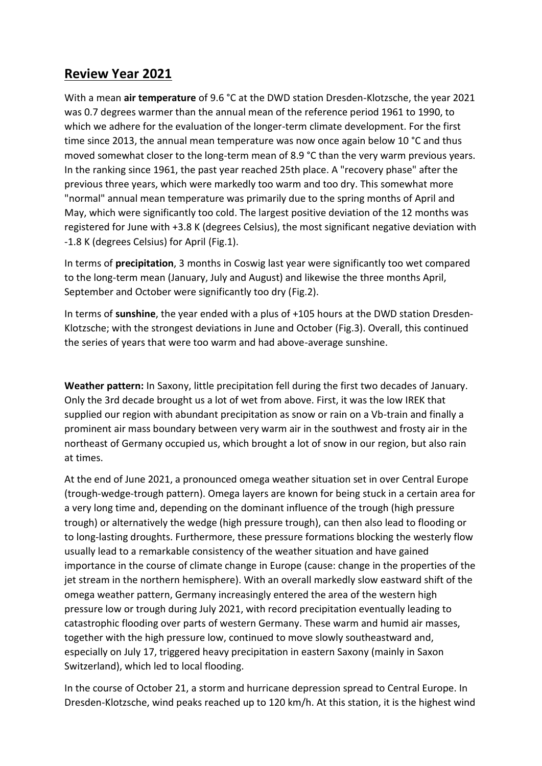## **Review Year 2021**

With a mean **air temperature** of 9.6 °C at the DWD station Dresden-Klotzsche, the year 2021 was 0.7 degrees warmer than the annual mean of the reference period 1961 to 1990, to which we adhere for the evaluation of the longer-term climate development. For the first time since 2013, the annual mean temperature was now once again below 10 °C and thus moved somewhat closer to the long-term mean of 8.9 °C than the very warm previous years. In the ranking since 1961, the past year reached 25th place. A "recovery phase" after the previous three years, which were markedly too warm and too dry. This somewhat more "normal" annual mean temperature was primarily due to the spring months of April and May, which were significantly too cold. The largest positive deviation of the 12 months was registered for June with +3.8 K (degrees Celsius), the most significant negative deviation with -1.8 K (degrees Celsius) for April (Fig.1).

In terms of **precipitation**, 3 months in Coswig last year were significantly too wet compared to the long-term mean (January, July and August) and likewise the three months April, September and October were significantly too dry (Fig.2).

In terms of **sunshine**, the year ended with a plus of +105 hours at the DWD station Dresden-Klotzsche; with the strongest deviations in June and October (Fig.3). Overall, this continued the series of years that were too warm and had above-average sunshine.

**Weather pattern:** In Saxony, little precipitation fell during the first two decades of January. Only the 3rd decade brought us a lot of wet from above. First, it was the low IREK that supplied our region with abundant precipitation as snow or rain on a Vb-train and finally a prominent air mass boundary between very warm air in the southwest and frosty air in the northeast of Germany occupied us, which brought a lot of snow in our region, but also rain at times.

At the end of June 2021, a pronounced omega weather situation set in over Central Europe (trough-wedge-trough pattern). Omega layers are known for being stuck in a certain area for a very long time and, depending on the dominant influence of the trough (high pressure trough) or alternatively the wedge (high pressure trough), can then also lead to flooding or to long-lasting droughts. Furthermore, these pressure formations blocking the westerly flow usually lead to a remarkable consistency of the weather situation and have gained importance in the course of climate change in Europe (cause: change in the properties of the jet stream in the northern hemisphere). With an overall markedly slow eastward shift of the omega weather pattern, Germany increasingly entered the area of the western high pressure low or trough during July 2021, with record precipitation eventually leading to catastrophic flooding over parts of western Germany. These warm and humid air masses, together with the high pressure low, continued to move slowly southeastward and, especially on July 17, triggered heavy precipitation in eastern Saxony (mainly in Saxon Switzerland), which led to local flooding.

In the course of October 21, a storm and hurricane depression spread to Central Europe. In Dresden-Klotzsche, wind peaks reached up to 120 km/h. At this station, it is the highest wind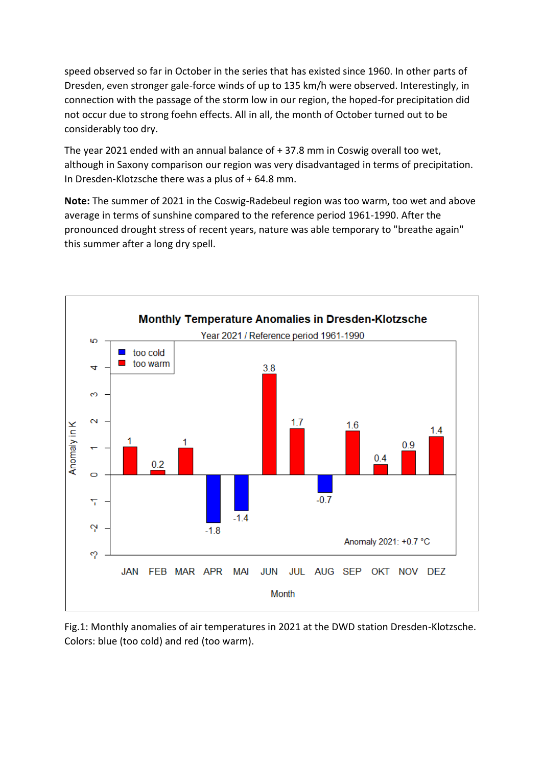speed observed so far in October in the series that has existed since 1960. In other parts of Dresden, even stronger gale-force winds of up to 135 km/h were observed. Interestingly, in connection with the passage of the storm low in our region, the hoped-for precipitation did not occur due to strong foehn effects. All in all, the month of October turned out to be considerably too dry.

The year 2021 ended with an annual balance of + 37.8 mm in Coswig overall too wet, although in Saxony comparison our region was very disadvantaged in terms of precipitation. In Dresden-Klotzsche there was a plus of + 64.8 mm.

**Note:** The summer of 2021 in the Coswig-Radebeul region was too warm, too wet and above average in terms of sunshine compared to the reference period 1961-1990. After the pronounced drought stress of recent years, nature was able temporary to "breathe again" this summer after a long dry spell.



Fig.1: Monthly anomalies of air temperatures in 2021 at the DWD station Dresden-Klotzsche. Colors: blue (too cold) and red (too warm).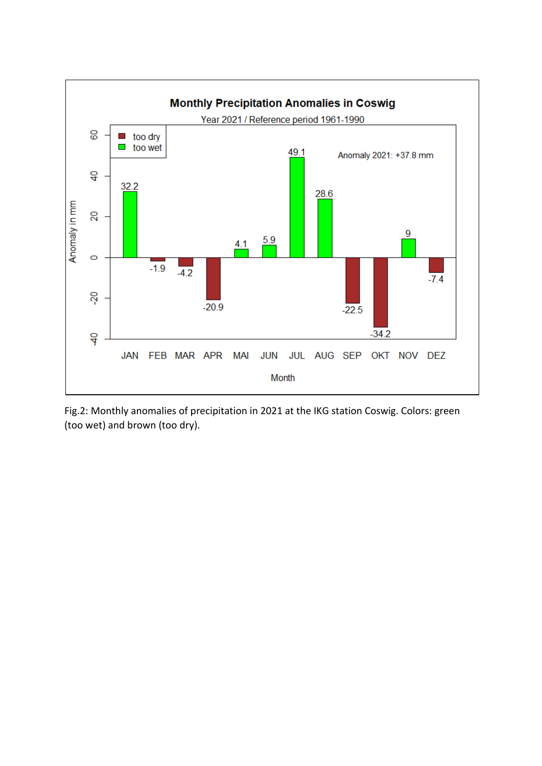

Fig.2: Monthly anomalies of precipitation in 2021 at the IKG station Coswig. Colors: green (too wet) and brown (too dry).